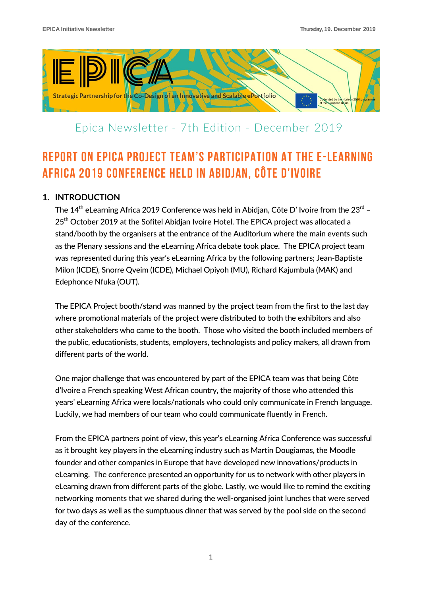

# Epica Newsletter - 7th Edition - December 2019

# REPORT ON EPICA PROJECT TEAM'S PARTICIPATION AT THE E-LEARNING AFRICA 2019 CONFERENCE HELD IN ABIDJAN, CÔTE D'IVOIRE

## **1. INTRODUCTION**

The  $14<sup>th</sup>$  eLearning Africa 2019 Conference was held in Abidjan, Côte D' Ivoire from the 23<sup>rd</sup> – 25<sup>th</sup> October 2019 at the Sofitel Abidian Ivoire Hotel. The EPICA project was allocated a stand/booth by the organisers at the entrance of the Auditorium where the main events such as the Plenary sessions and the eLearning Africa debate took place. The EPICA project team was represented during this year's eLearning Africa by the following partners; Jean-Baptiste Milon (ICDE), Snorre Qveim (ICDE), Michael Opiyoh (MU), Richard Kajumbula (MAK) and Edephonce Nfuka (OUT).

The EPICA Project booth/stand was manned by the project team from the first to the last day where promotional materials of the project were distributed to both the exhibitors and also other stakeholders who came to the booth. Those who visited the booth included members of the public, educationists, students, employers, technologists and policy makers, all drawn from different parts of the world.

One major challenge that was encountered by part of the EPICA team was that being Côte d'Ivoire a French speaking West African country, the majority of those who attended this years' eLearning Africa were locals/nationals who could only communicate in French language. Luckily, we had members of our team who could communicate fluently in French.

From the EPICA partners point of view, this year's eLearning Africa Conference was successful as it brought key players in the eLearning industry such as Martin Dougiamas, the Moodle founder and other companies in Europe that have developed new innovations/products in eLearning. The conference presented an opportunity for us to network with other players in eLearning drawn from different parts of the globe. Lastly, we would like to remind the exciting networking moments that we shared during the well-organised joint lunches that were served for two days as well as the sumptuous dinner that was served by the pool side on the second day of the conference.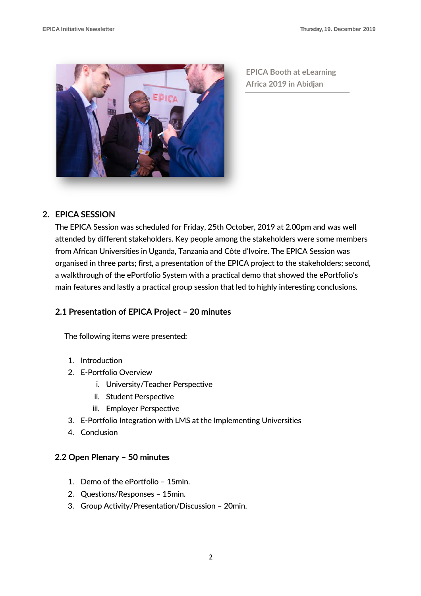

**EPICA Booth at eLearning Africa 2019 in Abidjan** 

### **2. EPICA SESSION**

The EPICA Session was scheduled for Friday, 25th October, 2019 at 2.00pm and was well attended by different stakeholders. Key people among the stakeholders were some members from African Universities in Uganda, Tanzania and Côte d'Ivoire. The EPICA Session was organised in three parts; first, a presentation of the EPICA project to the stakeholders; second, a walkthrough of the ePortfolio System with a practical demo that showed the ePortfolio's main features and lastly a practical group session that led to highly interesting conclusions.

### **2.1 Presentation of EPICA Project – 20 minutes**

The following items were presented:

- 1. Introduction
- 2. E-Portfolio Overview
	- i. University/Teacher Perspective
	- ii. Student Perspective
	- iii. Employer Perspective
- 3. E-Portfolio Integration with LMS at the Implementing Universities
- 4. Conclusion

### **2.2 Open Plenary – 50 minutes**

- 1. Demo of the ePortfolio 15min.
- 2. Questions/Responses 15min.
- 3. Group Activity/Presentation/Discussion 20min.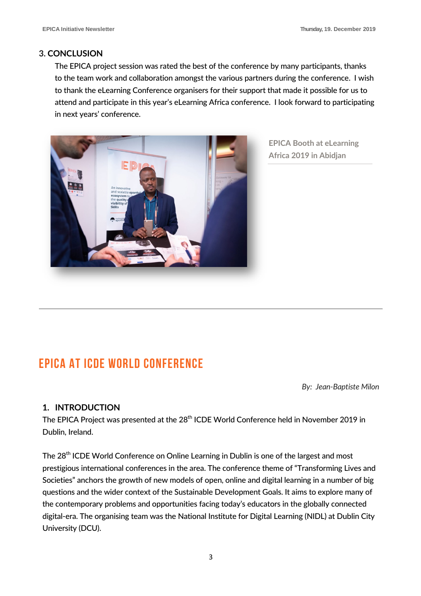### **3. CONCLUSION**

The EPICA project session was rated the best of the conference by many participants, thanks to the team work and collaboration amongst the various partners during the conference. I wish to thank the eLearning Conference organisers for their support that made it possible for us to attend and participate in this year's eLearning Africa conference. I look forward to participating in next years' conference.



**EPICA Booth at eLearning Africa 2019 in Abidjan** 

# EPICA AT ICDE WORLD CONFERENCE

*By: Jean-Baptiste Milon*

## **1. INTRODUCTION**

The EPICA Project was presented at the 28<sup>th</sup> ICDE World Conference held in November 2019 in Dublin, Ireland.

The 28<sup>th</sup> ICDE World Conference on Online Learning in Dublin is one of the largest and most prestigious international conferences in the area. The conference theme of "Transforming Lives and Societies" anchors the growth of new models of open, online and digital learning in a number of big questions and the wider context of the Sustainable Development Goals. It aims to explore many of the contemporary problems and opportunities facing today's educators in the globally connected digital-era. The organising team was the National Institute for Digital Learning (NIDL) at Dublin City University (DCU).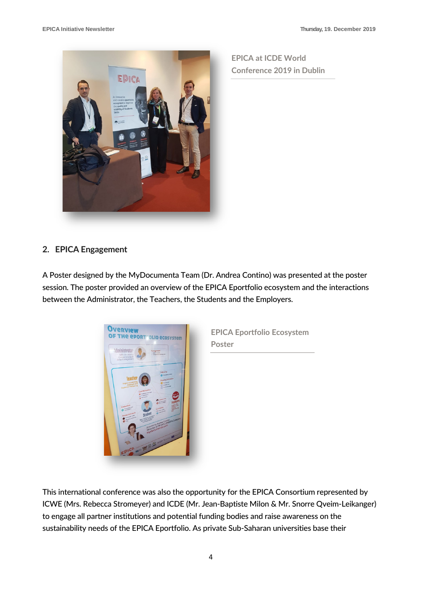

**EPICA at ICDE World Conference 2019 in Dublin**

## **2. EPICA Engagement**

A Poster designed by the MyDocumenta Team (Dr. Andrea Contino) was presented at the poster session. The poster provided an overview of the EPICA Eportfolio ecosystem and the interactions between the Administrator, the Teachers, the Students and the Employers.



**EPICA Eportfolio Ecosystem Poster**

This international conference was also the opportunity for the EPICA Consortium represented by ICWE (Mrs. Rebecca Stromeyer) and ICDE (Mr. Jean-Baptiste Milon & Mr. Snorre Qveim-Leikanger) to engage all partner institutions and potential funding bodies and raise awareness on the sustainability needs of the EPICA Eportfolio. As private Sub-Saharan universities base their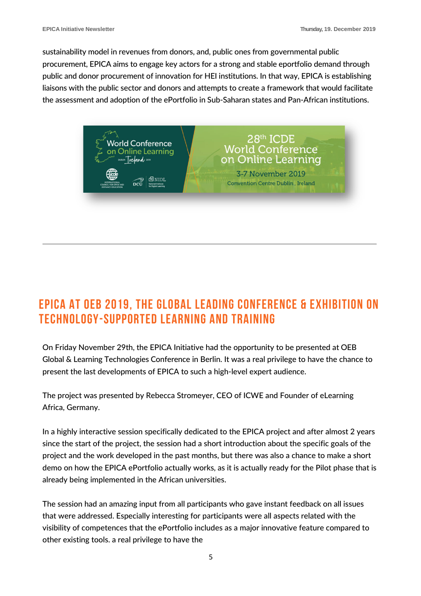sustainability model in revenues from donors, and, public ones from governmental public procurement, EPICA aims to engage key actors for a strong and stable eportfolio demand through public and donor procurement of innovation for HEI institutions. In that way, EPICA is establishing liaisons with the public sector and donors and attempts to create a framework that would facilitate the assessment and adoption of the ePortfolio in Sub-Saharan states and Pan-African institutions.



# EPICA AT OEB 2019, THE GLOBAL LEADING CONFERENCE & EXHIBITION ON TECHNOLOGY-SUPPORTED LEARNING AND TRAINING

On Friday November 29th, the EPICA Initiative had the opportunity to be presented at OEB Global & Learning Technologies Conference in Berlin. It was a real privilege to have the chance to present the last developments of EPICA to such a high-level expert audience.

The project was presented by Rebecca Stromeyer, CEO of ICWE and Founder of eLearning Africa, Germany.

In a highly interactive session specifically dedicated to the EPICA project and after almost 2 years since the start of the project, the session had a short introduction about the specific goals of the project and the work developed in the past months, but there was also a chance to make a short demo on how the EPICA ePortfolio actually works, as it is actually ready for the Pilot phase that is already being implemented in the African universities.

The session had an amazing input from all participants who gave instant feedback on all issues that were addressed. Especially interesting for participants were all aspects related with the visibility of competences that the ePortfolio includes as a major innovative feature compared to other existing tools. a real privilege to have the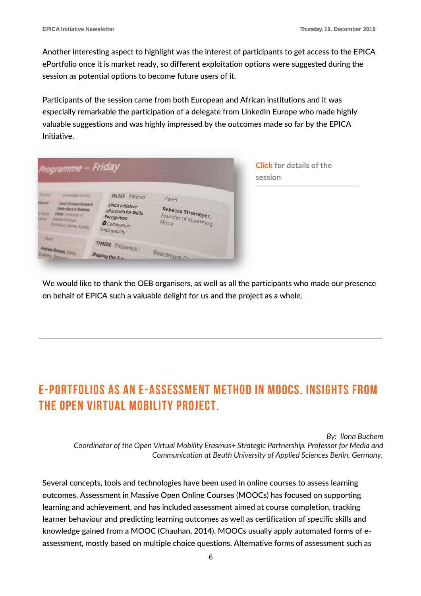Another interesting aspect to highlight was the interest of participants to get access to the EPICA ePortfolio once it is market ready, so different exploitation options were suggested during the session as potential options to become future users of it.

Participants of the session came from both European and African institutions and it was especially remarkable the participation of a delegate from LinkedIn Europe who made highly valuable suggestions and was highly impressed by the outcomes made so far by the EPICA Initiative.

| Programme - Friday                                                                                                                                                                                         |                                                                                                                         |                                                     | <b>Click</b> for details of the<br>session |
|------------------------------------------------------------------------------------------------------------------------------------------------------------------------------------------------------------|-------------------------------------------------------------------------------------------------------------------------|-----------------------------------------------------|--------------------------------------------|
| Winese<br><b>Knowledge Factory:</b><br><b>WA UTT</b><br>Gerd Christian Krizek &<br>Stefan Beck & Stefanie<br>U Data<br>Lietze, University of<br><b>Annied Sciences</b><br><b>Technikum Vienna, Austria</b> | SKL259 @Bishop<br><b>EPICA Initiative:</b><br>ePortfolio for Skills<br>Recognition<br>O Certification:<br>Employability | Panel<br>Rebecca Stromeyer,<br>Founder of eLearning |                                            |
| <b>Parent</b><br>Andreas Bonven, Dania<br>Casery, Denmark                                                                                                                                                  | TFM260 @ Köpenick  <br>Shaping the E.L.                                                                                 | Boardroom N                                         |                                            |

We would like to thank the OEB organisers, as well as all the participants who made our presence on behalf of EPICA such a valuable delight for us and the project as a whole.

# E-Portfolios as an E-Assessment Method in MOOCs. Insights from the Open Virtual Mobility Project.

*By: Ilona Buchem Coordinator of the Open Virtual Mobility Erasmus+ Strategic Partnership. Professor for Media and Communication at Beuth University of Applied Sciences Berlin, Germany*.

Several concepts, tools and technologies have been used in online courses to assess learning outcomes. Assessment in Massive Open Online Courses (MOOCs) has focused on supporting learning and achievement, and has included assessment aimed at course completion, tracking learner behaviour and predicting learning outcomes as well as certification of specific skills and knowledge gained from a MOOC (Chauhan, 2014). MOOCs usually apply automated forms of eassessment, mostly based on multiple choice questions. Alternative forms of assessment such as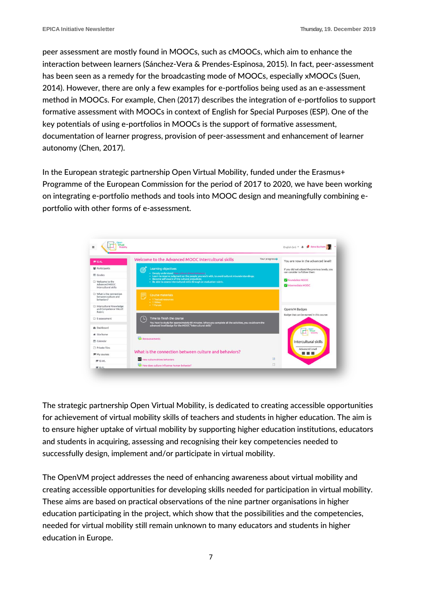peer assessment are mostly found in MOOCs, such as cMOOCs, which aim to enhance the interaction between learners (Sánchez-Vera & Prendes-Espinosa, 2015). In fact, peer-assessment has been seen as a remedy for the broadcasting mode of MOOCs, especially xMOOCs (Suen, 2014). However, there are only a few examples for e-portfolios being used as an e-assessment method in MOOCs. For example, Chen (2017) describes the integration of e-portfolios to support formative assessment with MOOCs in context of English for Special Purposes (ESP). One of the key potentials of using e-portfolios in MOOCs is the support of formative assessment, documentation of learner progress, provision of peer-assessment and enhancement of learner autonomy (Chen, 2017).

In the European strategic partnership Open Virtual Mobility, funded under the Erasmus+ Programme of the European Commission for the period of 2017 to 2020, we have been working on integrating e-portfolio methods and tools into MOOC design and meaningfully combining eportfolio with other forms of e-assessment.



The strategic partnership Open Virtual Mobility, is dedicated to creating accessible opportunities for achievement of virtual mobility skills of teachers and students in higher education. The aim is to ensure higher uptake of virtual mobility by supporting higher education institutions, educators and students in acquiring, assessing and recognising their key competencies needed to successfully design, implement and/or participate in virtual mobility.

The OpenVM project addresses the need of enhancing awareness about virtual mobility and creating accessible opportunities for developing skills needed for participation in virtual mobility. These aims are based on practical observations of the nine partner organisations in higher education participating in the project, which show that the possibilities and the competencies, needed for virtual mobility still remain unknown to many educators and students in higher education in Europe.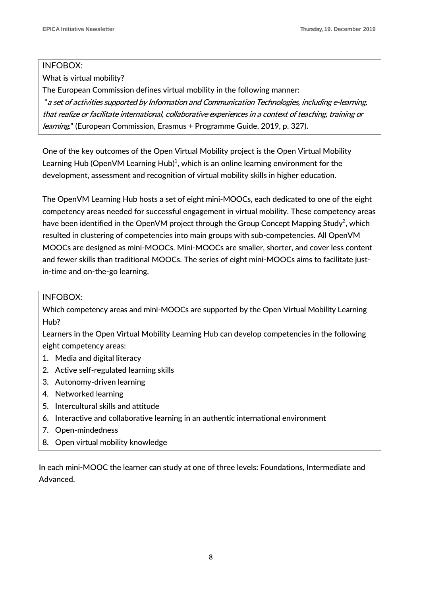#### INFOBOX:

What is virtual mobility?

The European Commission defines virtual mobility in the following manner:

"a set of activities supported by Information and Communication Technologies, including e-learning, that realize or facilitate international, collaborative experiences in a context of teaching, training or learning." (European Commission, Erasmus + Programme Guide, 2019, p. 327).

One of the key outcomes of the Open Virtual Mobility project is the Open Virtual Mobility Learning Hub (OpenVM Learning Hub) $^1$ , which is an online learning environment for the development, assessment and recognition of virtual mobility skills in higher education.

The OpenVM Learning Hub hosts a set of eight mini-MOOCs, each dedicated to one of the eight competency areas needed for successful engagement in virtual mobility. These competency areas have been identified in the OpenVM project through the Group Concept Mapping Study $^2$ , which resulted in clustering of competencies into main groups with sub-competencies. All OpenVM MOOCs are designed as mini-MOOCs. Mini-MOOCs are smaller, shorter, and cover less content and fewer skills than traditional MOOCs. The series of eight mini-MOOCs aims to facilitate justin-time and on-the-go learning.

### INFOBOX:

Which competency areas and mini-MOOCs are supported by the Open Virtual Mobility Learning Hub?

Learners in the Open Virtual Mobility Learning Hub can develop competencies in the following eight competency areas:

- 1. Media and digital literacy
- 2. Active self-regulated learning skills
- 3. Autonomy-driven learning
- 4. Networked learning
- 5. Intercultural skills and attitude
- 6. Interactive and collaborative learning in an authentic international environment
- 7. Open-mindedness
- 8. Open virtual mobility knowledge

In each mini-MOOC the learner can study at one of three levels: Foundations, Intermediate and Advanced.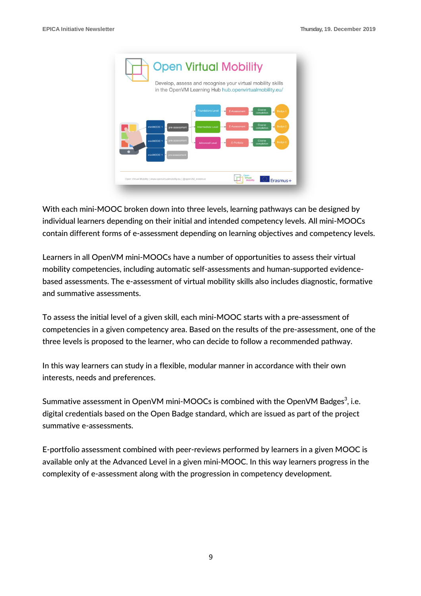

With each mini-MOOC broken down into three levels, learning pathways can be designed by individual learners depending on their initial and intended competency levels. All mini-MOOCs contain different forms of e-assessment depending on learning objectives and competency levels.

Learners in all OpenVM mini-MOOCs have a number of opportunities to assess their virtual mobility competencies, including automatic self-assessments and human-supported evidencebased assessments. The e-assessment of virtual mobility skills also includes diagnostic, formative and summative assessments.

To assess the initial level of a given skill, each mini-MOOC starts with a pre-assessment of competencies in a given competency area. Based on the results of the pre-assessment, one of the three levels is proposed to the learner, who can decide to follow a recommended pathway.

In this way learners can study in a flexible, modular manner in accordance with their own interests, needs and preferences.

Summative assessment in OpenVM mini-MOOCs is combined with the OpenVM Badges $^3$ , i.e. digital credentials based on the Open Badge standard, which are issued as part of the project summative e-assessments.

E-portfolio assessment combined with peer-reviews performed by learners in a given MOOC is available only at the Advanced Level in a given mini-MOOC. In this way learners progress in the complexity of e-assessment along with the progression in competency development.

9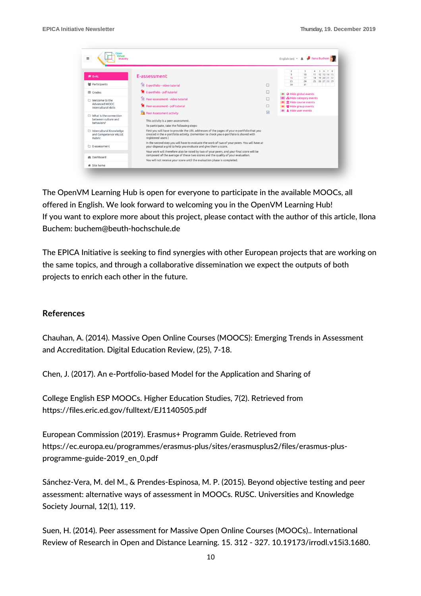| loen<br>Virtual<br>Ξ<br>Mobility                              |                                                                                                                                                                                                                                                                                                                                                                                                                                                                                                                                                                                                                                                                                                                 |   | <b>B</b> Ilona Buchem<br>English (en) $\tau$ $\triangle$                                                                       |  |  |
|---------------------------------------------------------------|-----------------------------------------------------------------------------------------------------------------------------------------------------------------------------------------------------------------------------------------------------------------------------------------------------------------------------------------------------------------------------------------------------------------------------------------------------------------------------------------------------------------------------------------------------------------------------------------------------------------------------------------------------------------------------------------------------------------|---|--------------------------------------------------------------------------------------------------------------------------------|--|--|
| <b>E</b> IS-AL                                                | E-assessment                                                                                                                                                                                                                                                                                                                                                                                                                                                                                                                                                                                                                                                                                                    |   | $\overline{c}$<br>3<br>6<br>$\overline{9}$<br>10<br>12 13 14 15<br>19 20 21 22<br>16<br>17<br>18<br>23<br>24<br>25 26 27 28 29 |  |  |
| <b>营</b> Participants                                         | <sup>8</sup> E-portfolio - video tutorial                                                                                                                                                                                                                                                                                                                                                                                                                                                                                                                                                                                                                                                                       | Ġ | 30<br>31                                                                                                                       |  |  |
| <b>ED</b> Grades                                              | E-portfolio - pdf tutorial                                                                                                                                                                                                                                                                                                                                                                                                                                                                                                                                                                                                                                                                                      |   | <b>A</b> Hide global events                                                                                                    |  |  |
| Welcome to the<br>Advanced MOOC<br>Intercultural skills       | <sup>2</sup> Peer-assessment - video tutorial<br>Peer-assessment - pdf tutorial                                                                                                                                                                                                                                                                                                                                                                                                                                                                                                                                                                                                                                 | □ | & Hide category events<br><b>III</b> Hide course events<br>Hide group events                                                   |  |  |
| U What is the connection<br>between culture and<br>behaviors? | A Hide user events<br><b>W</b><br>Peer Assessment activity<br>This activity is a peer assessment.<br>To participate, take the following steps:<br>First you will have to provide the URL addresses of the pages of your e-portfolio that you<br>created in the e-portfolio activity. (remember to check you e-portfolio is shared with<br>registered users)<br>In the second step you will have to evaluate the work of two of your peers. You will have at<br>your disposal a grid to help you evaluate and give them a score.<br>Your work will therefore also be rated by two of your peers, and your final score will be<br>composed of the average of these two scores and the quality of your evaluation. |   |                                                                                                                                |  |  |
| □ Intercultural Knowledge<br>and Competence VALUE<br>Rubric   |                                                                                                                                                                                                                                                                                                                                                                                                                                                                                                                                                                                                                                                                                                                 |   |                                                                                                                                |  |  |
| E-assessment                                                  |                                                                                                                                                                                                                                                                                                                                                                                                                                                                                                                                                                                                                                                                                                                 |   |                                                                                                                                |  |  |
| <b>@</b> Dashboard                                            |                                                                                                                                                                                                                                                                                                                                                                                                                                                                                                                                                                                                                                                                                                                 |   |                                                                                                                                |  |  |
| <b>#</b> Site home                                            | You will not receive your score until the evaluation phase is completed.                                                                                                                                                                                                                                                                                                                                                                                                                                                                                                                                                                                                                                        |   |                                                                                                                                |  |  |

The OpenVM Learning Hub is open for everyone to participate in the available MOOCs, all offered in English. We look forward to welcoming you in the OpenVM Learning Hub! If you want to explore more about this project, please contact with the author of this article, Ilona Buchem: buchem@beuth-hochschule.de

The EPICA Initiative is seeking to find synergies with other European projects that are working on the same topics, and through a collaborative dissemination we expect the outputs of both projects to enrich each other in the future.

#### **References**

Chauhan, A. (2014). Massive Open Online Courses (MOOCS): Emerging Trends in Assessment and Accreditation. Digital Education Review, (25), 7-18.

Chen, J. (2017). An e-Portfolio-based Model for the Application and Sharing of

College English ESP MOOCs. Higher Education Studies, 7(2). Retrieved from https://files.eric.ed.gov/fulltext/EJ1140505.pdf

European Commission (2019). Erasmus+ Programm Guide. Retrieved from https://ec.europa.eu/programmes/erasmus-plus/sites/erasmusplus2/files/erasmus-plusprogramme-guide-2019\_en\_0.pdf

Sánchez-Vera, M. del M., & Prendes-Espinosa, M. P. (2015). Beyond objective testing and peer assessment: alternative ways of assessment in MOOCs. RUSC. Universities and Knowledge Society Journal, 12(1), 119.

Suen, H. (2014). Peer assessment for Massive Open Online Courses (MOOCs).. International Review of Research in Open and Distance Learning. 15. 312 - 327. 10.19173/irrodl.v15i3.1680.